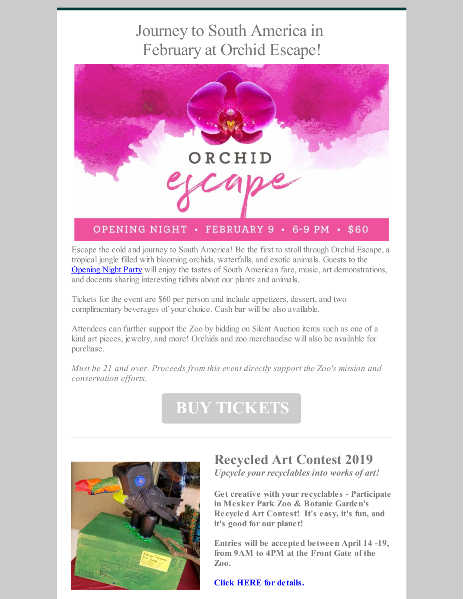## Journey to South America in February at Orchid Escape!



Escape the cold and journey to South America! Be the first to stroll through Orchid Escape, a tropical jungle filled with blooming orchids, waterfalls, and exotic animals. Guests to the [Opening](https://www.eventbrite.com/e/orchid-escape-opening-night-tickets-54411622628) Night Party will enjoy the tastes of South American fare, music, art demonstrations, and docents sharing interesting tidbits about our plants and animals.

Tickets for the event are \$60 per person and include appetizers, dessert, and two complimentary beverages of your choice. Cash bar will be also available.

Attendees can further support the Zoo by bidding on Silent Auction items such as one of a kind art pieces, jewelry, and more! Orchids and zoo merchandise will also be available for purchase.

*Must be 21 and over. Proceeds from this event directly support the Zoo's mission and conservation efforts.*

# **BUY [TICKETS](https://www.eventbrite.com/e/orchid-escape-opening-night-tickets-54411622628)**



## **Recycled Art Contest 2019**

*Upcycle your recyclables into works of art!*

**Get creative with your recyclables - Participate in Mesker Park Zoo & Botanic Garden's Recycled Art Contest! It's easy, it's fun, and it's good for our planet!**

**Entries will be accepted between April 14 -19, from 9AM to 4PM at the Front Gate of the Zoo.**

**Click HERE for [details.](https://files.constantcontact.com/122c30b3101/ad3cd847-27f3-452e-9df2-e827ffe68625.pdf)**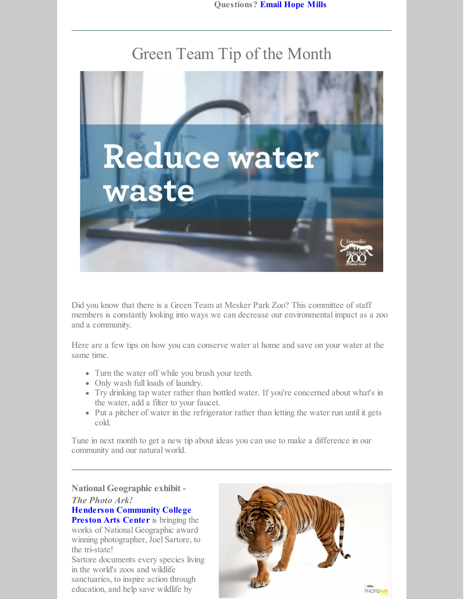### Green Team Tip of the Month



Did you know that there is a Green Team at Mesker Park Zoo? This committee of staff members is constantly looking into ways we can decrease our environmental impact as a zoo and a community.

Here are a few tips on how you can conserve water at home and save on your water at the same time.

- Turn the water off while you brush your teeth.
- Only wash full loads of laundry.
- Try drinking tap water rather than bottled water. If you're concerned about what's in the water, add a filter to your faucet.
- Put a pitcher of water in the refrigerator rather than letting the water run until it gets cold.

Tune in next month to get a new tip about ideas you can use to make a difference in our community and our natural world.

#### **National Geographic exhibit -** *The Photo Ark!* **Henderson [Community](https://wego.here.com/directions/mix//Preston-Arts-Center,-2660-S-Green-St,-42420-Henderson:e-eyJuYW1lIjoiUHJlc3RvbiBBcnRzIENlbnRlciIsImFkZHJlc3MiOiIyNjYwIFMgR3JlZW4gU3QsIEhlbmRlcnNvbiwgS2VudHVja3kgNDI0MjAiLCJsYXRpdHVkZSI6MzcuNzk3NjQxMjA5NTg4LCJsb25naXR1ZGUiOi04Ny42NTAwMDMxODQ2OTYsInByb3ZpZGVyTmFtZSI6ImZhY2Vib29rIiwicHJvdmlkZXJJZCI6MzAxODA3MDI5OTIxMTg1fQ==?map=37.79764,-87.65,15,normal&fb_locale=en_US) College Preston Arts Center** is bringing the works of National Geographic award

winning photographer, Joel Sartore, to the tri-state! Sartore documents every species living in the world's zoos and wildlife

sanctuaries, to inspire action through education, and help save wildlife by